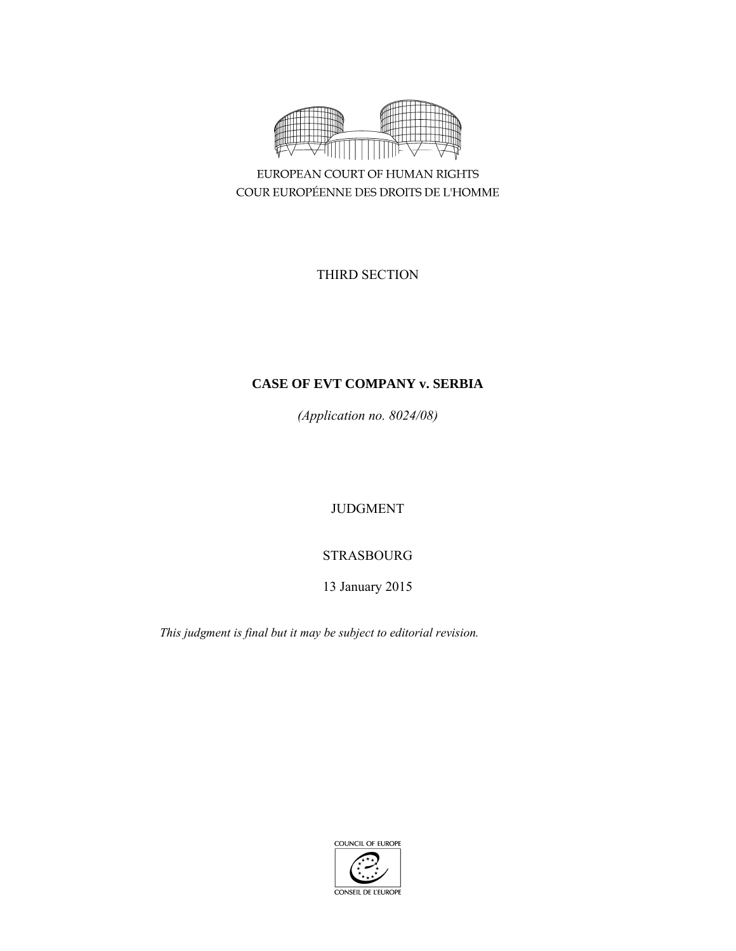

EUROPEAN COURT OF HUMAN RIGHTS COUR EUROPÉENNE DES DROITS DE L'HOMME

THIRD SECTION

# **CASE OF EVT COMPANY v. SERBIA**

*(Application no. 8024/08)* 

JUDGMENT

STRASBOURG

13 January 2015

*This judgment is final but it may be subject to editorial revision.* 

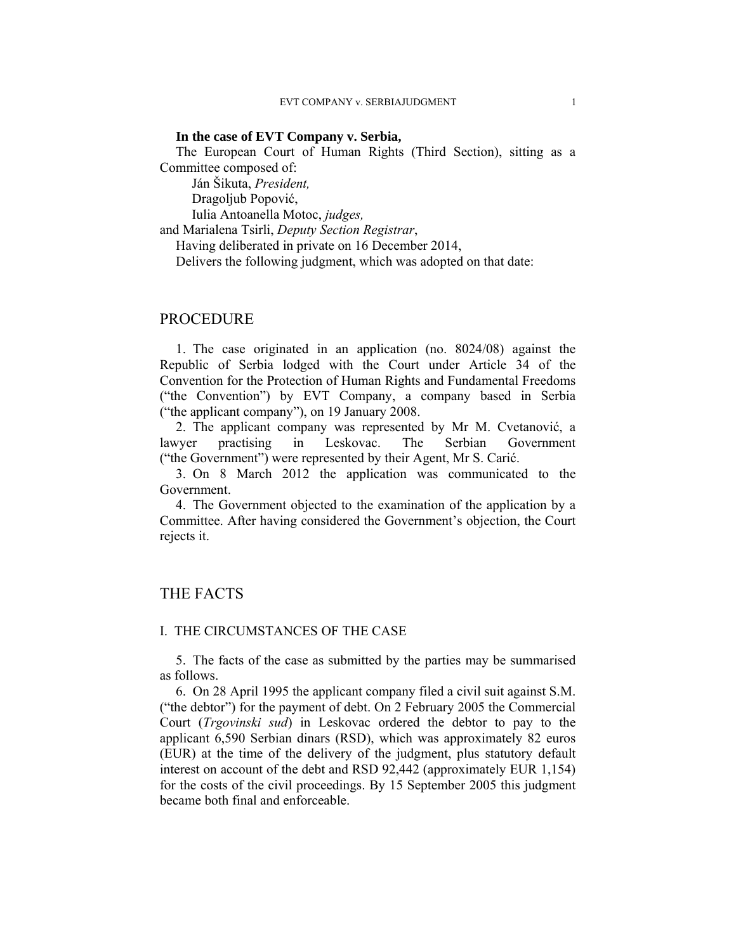## **In the case of EVT Company v. Serbia,**

The European Court of Human Rights (Third Section), sitting as a Committee composed of:

 Ján Šikuta, *President,*  Dragoljub Popović,

Iulia Antoanella Motoc, *judges,*

and Marialena Tsirli, *Deputy Section Registrar*,

Having deliberated in private on 16 December 2014,

Delivers the following judgment, which was adopted on that date:

# PROCEDURE

1. The case originated in an application (no. 8024/08) against the Republic of Serbia lodged with the Court under Article 34 of the Convention for the Protection of Human Rights and Fundamental Freedoms ("the Convention") by EVT Company, a company based in Serbia ("the applicant company"), on 19 January 2008.

2. The applicant company was represented by Mr M. Cvetanović, a lawyer practising in Leskovac. The Serbian Government ("the Government") were represented by their Agent, Mr S. Carić.

3. On 8 March 2012 the application was communicated to the Government.

4. The Government objected to the examination of the application by a Committee. After having considered the Government's objection, the Court rejects it.

# THE FACTS

## I. THE CIRCUMSTANCES OF THE CASE

5. The facts of the case as submitted by the parties may be summarised as follows.

6. On 28 April 1995 the applicant company filed a civil suit against S.M. ("the debtor") for the payment of debt. On 2 February 2005 the Commercial Court (*Trgovinski sud*) in Leskovac ordered the debtor to pay to the applicant 6,590 Serbian dinars (RSD), which was approximately 82 euros (EUR) at the time of the delivery of the judgment, plus statutory default interest on account of the debt and RSD 92,442 (approximately EUR 1,154) for the costs of the civil proceedings. By 15 September 2005 this judgment became both final and enforceable.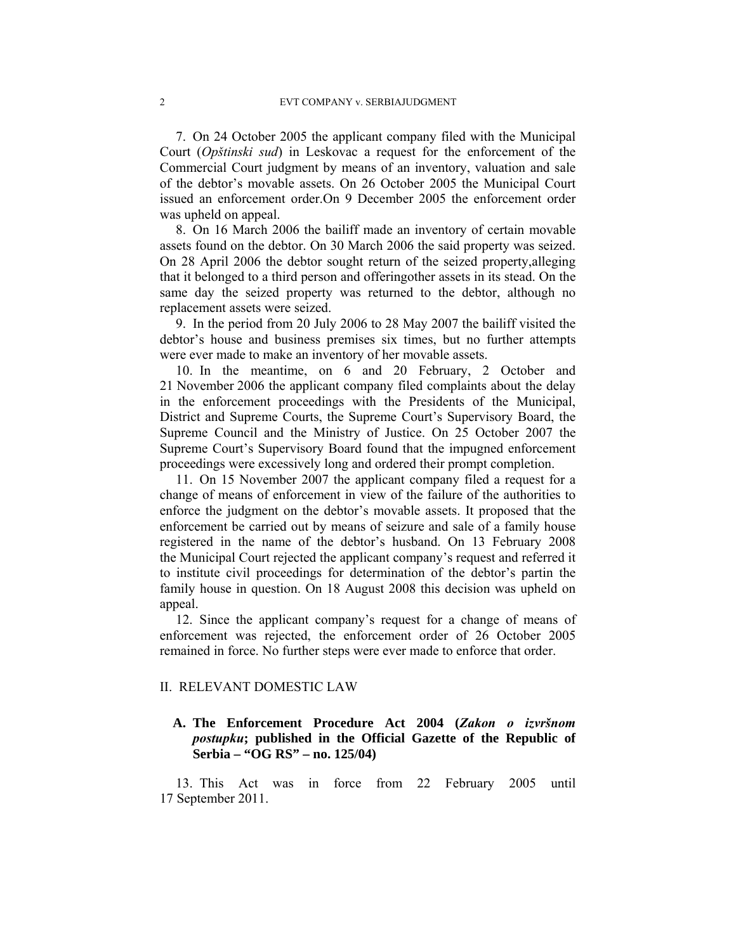7. On 24 October 2005 the applicant company filed with the Municipal Court (*Opštinski sud*) in Leskovac a request for the enforcement of the Commercial Court judgment by means of an inventory, valuation and sale of the debtor's movable assets. On 26 October 2005 the Municipal Court issued an enforcement order.On 9 December 2005 the enforcement order was upheld on appeal.

8. On 16 March 2006 the bailiff made an inventory of certain movable assets found on the debtor. On 30 March 2006 the said property was seized. On 28 April 2006 the debtor sought return of the seized property,alleging that it belonged to a third person and offeringother assets in its stead. On the same day the seized property was returned to the debtor, although no replacement assets were seized.

9. In the period from 20 July 2006 to 28 May 2007 the bailiff visited the debtor's house and business premises six times, but no further attempts were ever made to make an inventory of her movable assets.

10. In the meantime, on 6 and 20 February, 2 October and 21 November 2006 the applicant company filed complaints about the delay in the enforcement proceedings with the Presidents of the Municipal, District and Supreme Courts, the Supreme Court's Supervisory Board, the Supreme Council and the Ministry of Justice. On 25 October 2007 the Supreme Court's Supervisory Board found that the impugned enforcement proceedings were excessively long and ordered their prompt completion.

11. On 15 November 2007 the applicant company filed a request for a change of means of enforcement in view of the failure of the authorities to enforce the judgment on the debtor's movable assets. It proposed that the enforcement be carried out by means of seizure and sale of a family house registered in the name of the debtor's husband. On 13 February 2008 the Municipal Court rejected the applicant company's request and referred it to institute civil proceedings for determination of the debtor's partin the family house in question. On 18 August 2008 this decision was upheld on appeal.

12. Since the applicant company's request for a change of means of enforcement was rejected, the enforcement order of 26 October 2005 remained in force. No further steps were ever made to enforce that order.

## II. RELEVANT DOMESTIC LAW

# **A. The Enforcement Procedure Act 2004 (***Zakon o izvršnom postupku***; published in the Official Gazette of the Republic of Serbia – "OG RS" – no. 125/04)**

13. This Act was in force from 22 February 2005 until 17 September 2011.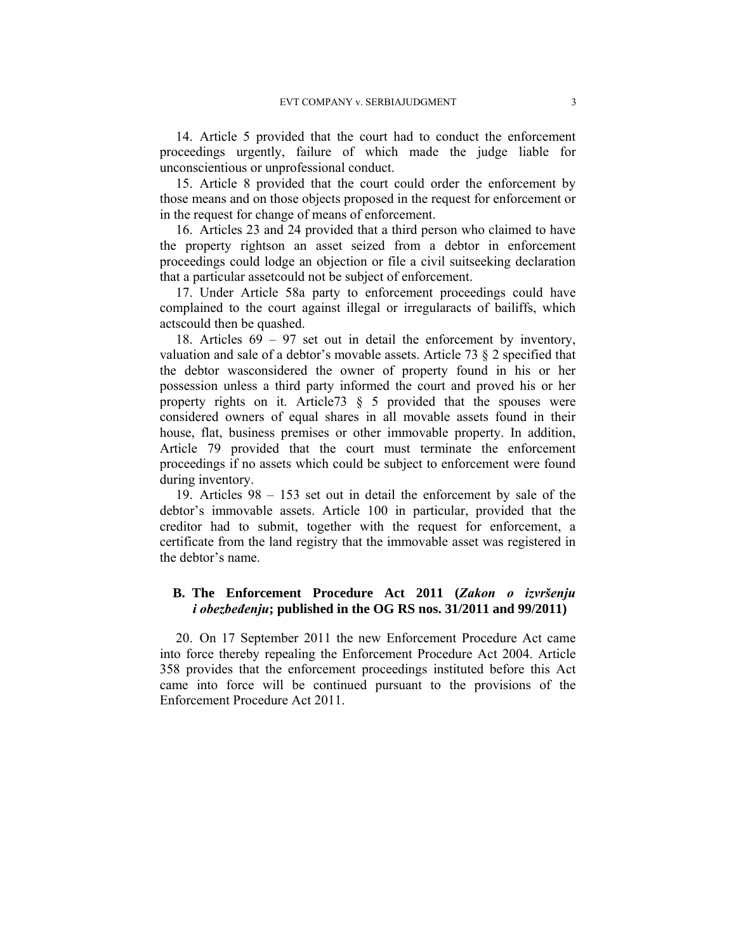14. Article 5 provided that the court had to conduct the enforcement proceedings urgently, failure of which made the judge liable for unconscientious or unprofessional conduct.

15. Article 8 provided that the court could order the enforcement by those means and on those objects proposed in the request for enforcement or in the request for change of means of enforcement.

16. Articles 23 and 24 provided that a third person who claimed to have the property rightson an asset seized from a debtor in enforcement proceedings could lodge an objection or file a civil suitseeking declaration that a particular assetcould not be subject of enforcement.

17. Under Article 58a party to enforcement proceedings could have complained to the court against illegal or irregularacts of bailiffs, which actscould then be quashed.

18. Articles 69 – 97 set out in detail the enforcement by inventory, valuation and sale of a debtor's movable assets. Article 73 § 2 specified that the debtor wasconsidered the owner of property found in his or her possession unless a third party informed the court and proved his or her property rights on it. Article  $73 \S 5$  provided that the spouses were considered owners of equal shares in all movable assets found in their house, flat, business premises or other immovable property. In addition, Article 79 provided that the court must terminate the enforcement proceedings if no assets which could be subject to enforcement were found during inventory.

19. Articles 98 – 153 set out in detail the enforcement by sale of the debtor's immovable assets. Article 100 in particular, provided that the creditor had to submit, together with the request for enforcement, a certificate from the land registry that the immovable asset was registered in the debtor's name.

## **B. The Enforcement Procedure Act 2011 (***Zakon o izvršenju i obezbeđenju***; published in the OG RS nos. 31/2011 and 99/2011)**

20. On 17 September 2011 the new Enforcement Procedure Act came into force thereby repealing the Enforcement Procedure Act 2004. Article 358 provides that the enforcement proceedings instituted before this Act came into force will be continued pursuant to the provisions of the Enforcement Procedure Act 2011.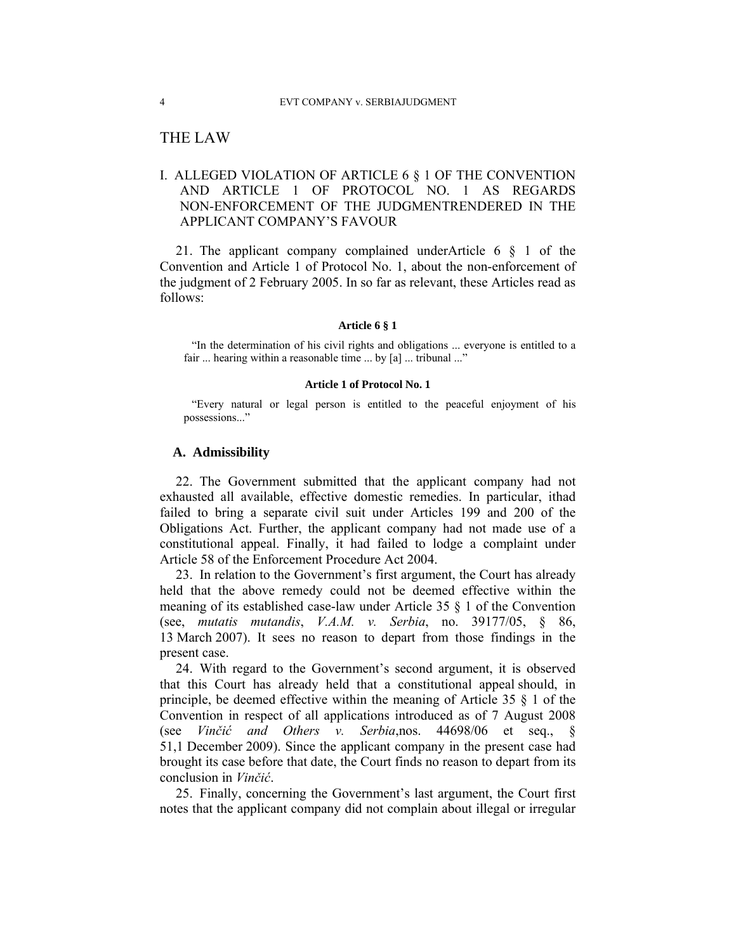# THE LAW

# I. ALLEGED VIOLATION OF ARTICLE 6 § 1 OF THE CONVENTION AND ARTICLE 1 OF PROTOCOL NO. 1 AS REGARDS NON-ENFORCEMENT OF THE JUDGMENTRENDERED IN THE APPLICANT COMPANY'S FAVOUR

21. The applicant company complained underArticle 6 § 1 of the Convention and Article 1 of Protocol No. 1, about the non-enforcement of the judgment of 2 February 2005. In so far as relevant, these Articles read as follows:

#### **Article 6 § 1**

"In the determination of his civil rights and obligations ... everyone is entitled to a fair ... hearing within a reasonable time ... by [a] ... tribunal ..."

#### **Article 1 of Protocol No. 1**

"Every natural or legal person is entitled to the peaceful enjoyment of his possessions..."

## **A. Admissibility**

22. The Government submitted that the applicant company had not exhausted all available, effective domestic remedies. In particular, ithad failed to bring a separate civil suit under Articles 199 and 200 of the Obligations Act. Further, the applicant company had not made use of a constitutional appeal. Finally, it had failed to lodge a complaint under Article 58 of the Enforcement Procedure Act 2004.

23. In relation to the Government's first argument, the Court has already held that the above remedy could not be deemed effective within the meaning of its established case-law under Article 35 § 1 of the Convention (see, *mutatis mutandis*, *V.A.M. v. Serbia*, no. 39177/05, § 86, 13 March 2007). It sees no reason to depart from those findings in the present case.

24. With regard to the Government's second argument, it is observed that this Court has already held that a constitutional appeal should, in principle, be deemed effective within the meaning of Article 35 § 1 of the Convention in respect of all applications introduced as of 7 August 2008 (see *Vinčić and Others v. Serbia*,nos. 44698/06 et seq., § 51,1 December 2009). Since the applicant company in the present case had brought its case before that date, the Court finds no reason to depart from its conclusion in *Vinčić*.

25. Finally, concerning the Government's last argument, the Court first notes that the applicant company did not complain about illegal or irregular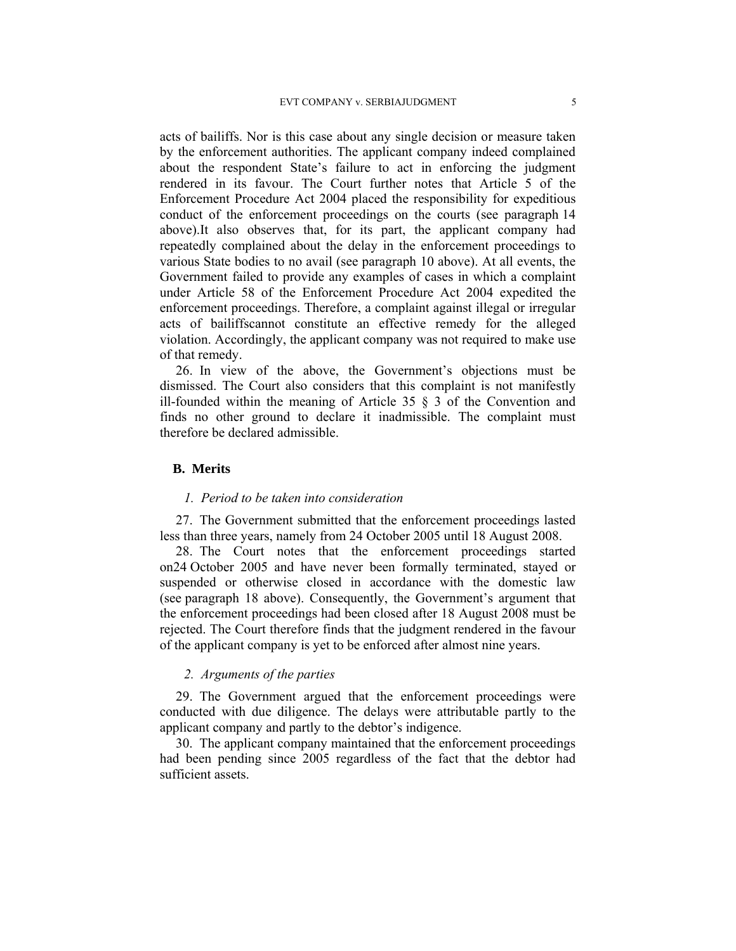acts of bailiffs. Nor is this case about any single decision or measure taken by the enforcement authorities. The applicant company indeed complained about the respondent State's failure to act in enforcing the judgment rendered in its favour. The Court further notes that Article 5 of the Enforcement Procedure Act 2004 placed the responsibility for expeditious conduct of the enforcement proceedings on the courts (see paragraph 14 above).It also observes that, for its part, the applicant company had repeatedly complained about the delay in the enforcement proceedings to various State bodies to no avail (see paragraph 10 above). At all events, the Government failed to provide any examples of cases in which a complaint under Article 58 of the Enforcement Procedure Act 2004 expedited the enforcement proceedings. Therefore, a complaint against illegal or irregular acts of bailiffscannot constitute an effective remedy for the alleged violation. Accordingly, the applicant company was not required to make use of that remedy.

26. In view of the above, the Government's objections must be dismissed. The Court also considers that this complaint is not manifestly ill-founded within the meaning of Article 35 § 3 of the Convention and finds no other ground to declare it inadmissible. The complaint must therefore be declared admissible.

## **B. Merits**

#### *1. Period to be taken into consideration*

27. The Government submitted that the enforcement proceedings lasted less than three years, namely from 24 October 2005 until 18 August 2008.

28. The Court notes that the enforcement proceedings started on24 October 2005 and have never been formally terminated, stayed or suspended or otherwise closed in accordance with the domestic law (see paragraph 18 above). Consequently, the Government's argument that the enforcement proceedings had been closed after 18 August 2008 must be rejected. The Court therefore finds that the judgment rendered in the favour of the applicant company is yet to be enforced after almost nine years.

## *2. Arguments of the parties*

29. The Government argued that the enforcement proceedings were conducted with due diligence. The delays were attributable partly to the applicant company and partly to the debtor's indigence.

30. The applicant company maintained that the enforcement proceedings had been pending since 2005 regardless of the fact that the debtor had sufficient assets.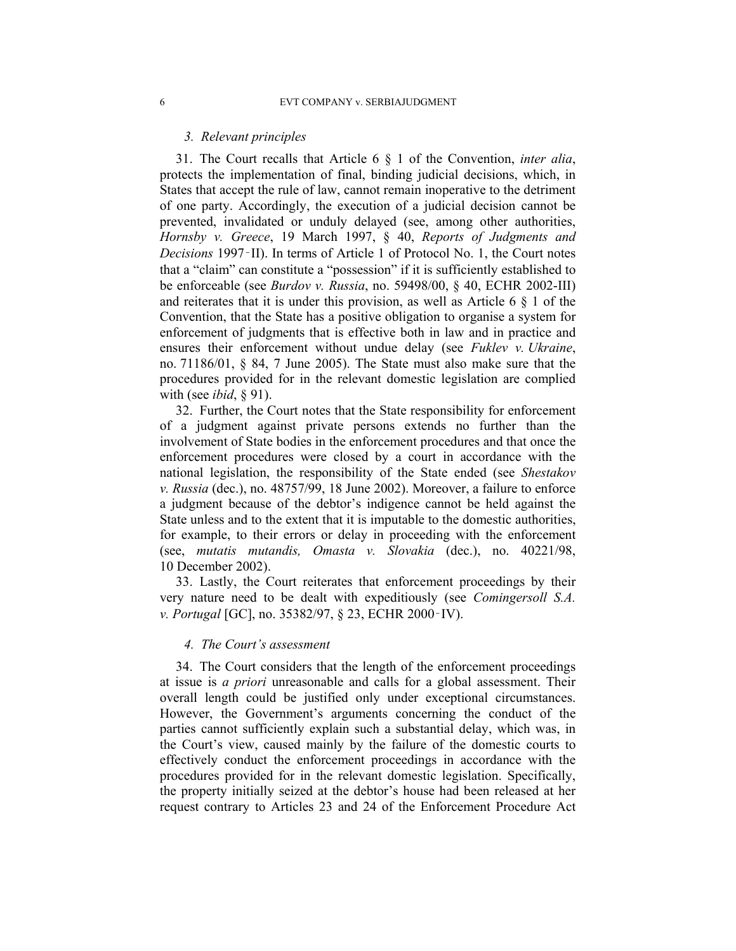## *3. Relevant principles*

31. The Court recalls that Article 6 § 1 of the Convention, *inter alia*, protects the implementation of final, binding judicial decisions, which, in States that accept the rule of law, cannot remain inoperative to the detriment of one party. Accordingly, the execution of a judicial decision cannot be prevented, invalidated or unduly delayed (see, among other authorities, *Hornsby v. Greece*, 19 March 1997, § 40, *Reports of Judgments and Decisions* 1997‑II). In terms of Article 1 of Protocol No. 1, the Court notes that a "claim" can constitute a "possession" if it is sufficiently established to be enforceable (see *Burdov v. Russia*, no. 59498/00, § 40, ECHR 2002-III) and reiterates that it is under this provision, as well as Article 6 § 1 of the Convention, that the State has a positive obligation to organise a system for enforcement of judgments that is effective both in law and in practice and ensures their enforcement without undue delay (see *Fuklev v. Ukraine*, no. 71186/01, § 84, 7 June 2005). The State must also make sure that the procedures provided for in the relevant domestic legislation are complied with (see *ibid*, § 91).

32. Further, the Court notes that the State responsibility for enforcement of a judgment against private persons extends no further than the involvement of State bodies in the enforcement procedures and that once the enforcement procedures were closed by a court in accordance with the national legislation, the responsibility of the State ended (see *Shestakov v. Russia* (dec.), no. 48757/99, 18 June 2002). Moreover, a failure to enforce a judgment because of the debtor's indigence cannot be held against the State unless and to the extent that it is imputable to the domestic authorities, for example, to their errors or delay in proceeding with the enforcement (see, *mutatis mutandis, Omasta v. Slovakia* (dec.), no. 40221/98, 10 December 2002).

33. Lastly, the Court reiterates that enforcement proceedings by their very nature need to be dealt with expeditiously (see *Comingersoll S.A. v. Portugal* [GC], no. 35382/97, § 23, ECHR 2000‑IV).

## *4. The Court's assessment*

34. The Court considers that the length of the enforcement proceedings at issue is *a priori* unreasonable and calls for a global assessment. Their overall length could be justified only under exceptional circumstances. However, the Government's arguments concerning the conduct of the parties cannot sufficiently explain such a substantial delay, which was, in the Court's view, caused mainly by the failure of the domestic courts to effectively conduct the enforcement proceedings in accordance with the procedures provided for in the relevant domestic legislation. Specifically, the property initially seized at the debtor's house had been released at her request contrary to Articles 23 and 24 of the Enforcement Procedure Act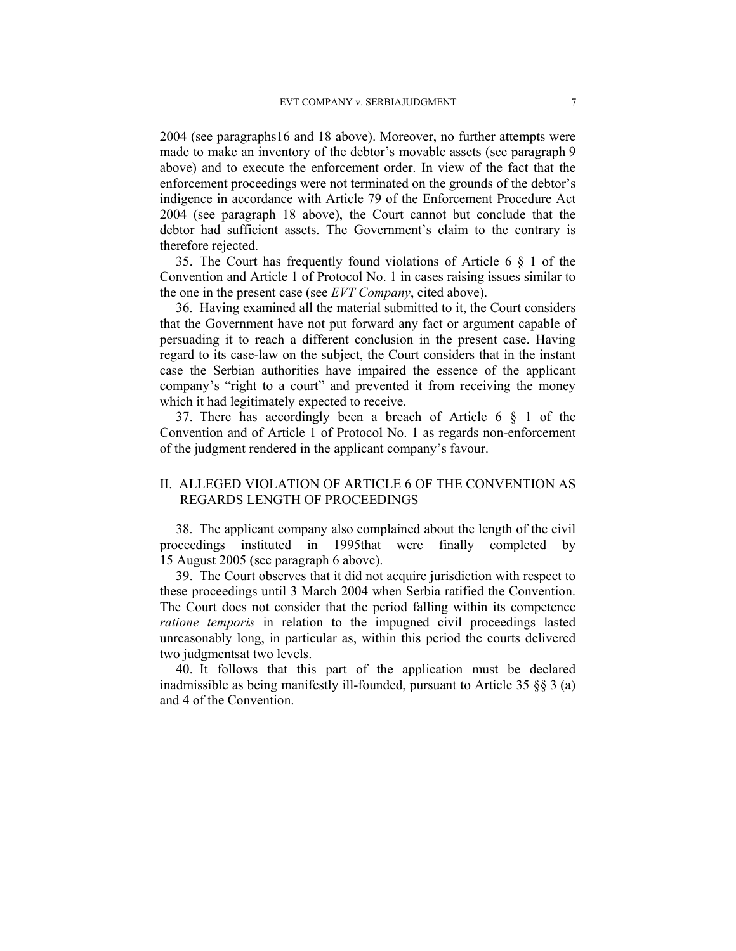2004 (see paragraphs16 and 18 above). Moreover, no further attempts were made to make an inventory of the debtor's movable assets (see paragraph 9 above) and to execute the enforcement order. In view of the fact that the enforcement proceedings were not terminated on the grounds of the debtor's indigence in accordance with Article 79 of the Enforcement Procedure Act 2004 (see paragraph 18 above), the Court cannot but conclude that the debtor had sufficient assets. The Government's claim to the contrary is therefore rejected.

35. The Court has frequently found violations of Article 6 § 1 of the Convention and Article 1 of Protocol No. 1 in cases raising issues similar to the one in the present case (see *EVT Company*, cited above).

36. Having examined all the material submitted to it, the Court considers that the Government have not put forward any fact or argument capable of persuading it to reach a different conclusion in the present case. Having regard to its case-law on the subject, the Court considers that in the instant case the Serbian authorities have impaired the essence of the applicant company's "right to a court" and prevented it from receiving the money which it had legitimately expected to receive.

37. There has accordingly been a breach of Article 6 § 1 of the Convention and of Article 1 of Protocol No. 1 as regards non-enforcement of the judgment rendered in the applicant company's favour.

## II. ALLEGED VIOLATION OF ARTICLE 6 OF THE CONVENTION AS REGARDS LENGTH OF PROCEEDINGS

38. The applicant company also complained about the length of the civil proceedings instituted in 1995that were finally completed by 15 August 2005 (see paragraph 6 above).

39. The Court observes that it did not acquire jurisdiction with respect to these proceedings until 3 March 2004 when Serbia ratified the Convention. The Court does not consider that the period falling within its competence *ratione temporis* in relation to the impugned civil proceedings lasted unreasonably long, in particular as, within this period the courts delivered two judgmentsat two levels.

40. It follows that this part of the application must be declared inadmissible as being manifestly ill-founded, pursuant to Article 35 §§ 3 (a) and 4 of the Convention.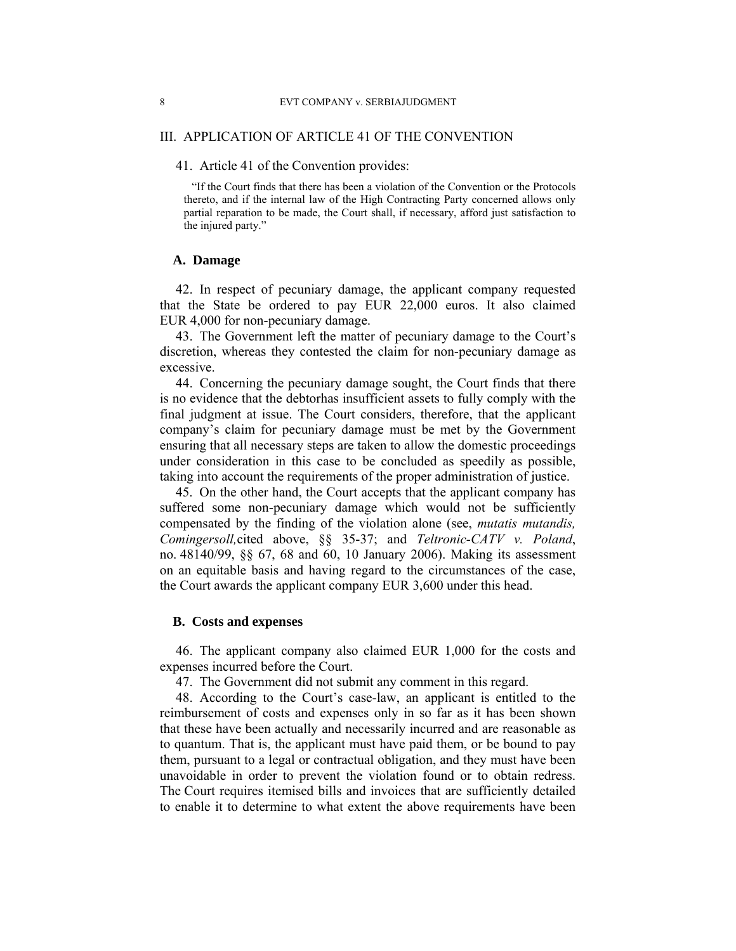## III. APPLICATION OF ARTICLE 41 OF THE CONVENTION

## 41. Article 41 of the Convention provides:

"If the Court finds that there has been a violation of the Convention or the Protocols thereto, and if the internal law of the High Contracting Party concerned allows only partial reparation to be made, the Court shall, if necessary, afford just satisfaction to the injured party."

## **A. Damage**

42. In respect of pecuniary damage, the applicant company requested that the State be ordered to pay EUR 22,000 euros. It also claimed EUR 4,000 for non-pecuniary damage.

43. The Government left the matter of pecuniary damage to the Court's discretion, whereas they contested the claim for non-pecuniary damage as excessive.

44. Concerning the pecuniary damage sought, the Court finds that there is no evidence that the debtorhas insufficient assets to fully comply with the final judgment at issue. The Court considers, therefore, that the applicant company's claim for pecuniary damage must be met by the Government ensuring that all necessary steps are taken to allow the domestic proceedings under consideration in this case to be concluded as speedily as possible, taking into account the requirements of the proper administration of justice.

45. On the other hand, the Court accepts that the applicant company has suffered some non-pecuniary damage which would not be sufficiently compensated by the finding of the violation alone (see, *mutatis mutandis, Comingersoll,*cited above, §§ 35-37; and *Teltronic-CATV v. Poland*, no. 48140/99, §§ 67, 68 and 60, 10 January 2006). Making its assessment on an equitable basis and having regard to the circumstances of the case, the Court awards the applicant company EUR 3,600 under this head.

### **B. Costs and expenses**

46. The applicant company also claimed EUR 1,000 for the costs and expenses incurred before the Court.

47. The Government did not submit any comment in this regard.

48. According to the Court's case-law, an applicant is entitled to the reimbursement of costs and expenses only in so far as it has been shown that these have been actually and necessarily incurred and are reasonable as to quantum. That is, the applicant must have paid them, or be bound to pay them, pursuant to a legal or contractual obligation, and they must have been unavoidable in order to prevent the violation found or to obtain redress. The Court requires itemised bills and invoices that are sufficiently detailed to enable it to determine to what extent the above requirements have been